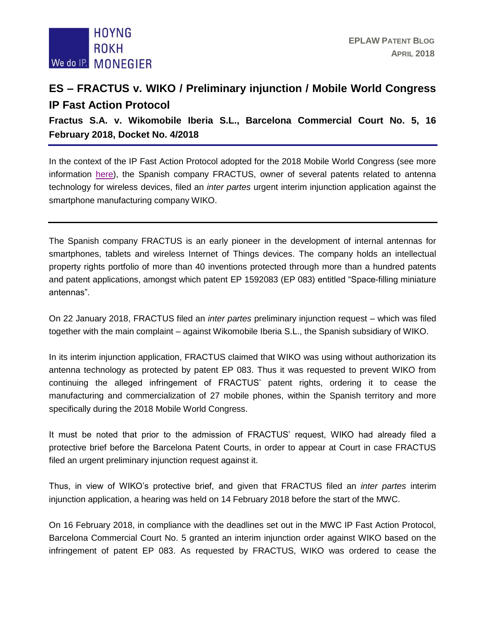

## **ES – FRACTUS v. WIKO / Preliminary injunction / Mobile World Congress IP Fast Action Protocol**

**Fractus S.A. v. Wikomobile Iberia S.L., Barcelona Commercial Court No. 5, 16 February 2018, Docket No. 4/2018**

In the context of the IP Fast Action Protocol adopted for the 2018 Mobile World Congress (see more information [here\)](http://eplaw.org/es-fast-action-protocol-mobile-world-congress-2018/), the Spanish company FRACTUS, owner of several patents related to antenna technology for wireless devices, filed an *inter partes* urgent interim injunction application against the smartphone manufacturing company WIKO.

The Spanish company FRACTUS is an early pioneer in the development of internal antennas for smartphones, tablets and wireless Internet of Things devices. The company holds an intellectual property rights portfolio of more than 40 inventions protected through more than a hundred patents and patent applications, amongst which patent EP 1592083 (EP 083) entitled "Space-filling miniature antennas".

On 22 January 2018, FRACTUS filed an *inter partes* preliminary injunction request – which was filed together with the main complaint – against Wikomobile Iberia S.L., the Spanish subsidiary of WIKO.

In its interim injunction application, FRACTUS claimed that WIKO was using without authorization its antenna technology as protected by patent EP 083. Thus it was requested to prevent WIKO from continuing the alleged infringement of FRACTUS' patent rights, ordering it to cease the manufacturing and commercialization of 27 mobile phones, within the Spanish territory and more specifically during the 2018 Mobile World Congress.

It must be noted that prior to the admission of FRACTUS' request, WIKO had already filed a protective brief before the Barcelona Patent Courts, in order to appear at Court in case FRACTUS filed an urgent preliminary injunction request against it.

Thus, in view of WIKO's protective brief, and given that FRACTUS filed an *inter partes* interim injunction application, a hearing was held on 14 February 2018 before the start of the MWC.

On 16 February 2018, in compliance with the deadlines set out in the MWC IP Fast Action Protocol, Barcelona Commercial Court No. 5 granted an interim injunction order against WIKO based on the infringement of patent EP 083. As requested by FRACTUS, WIKO was ordered to cease the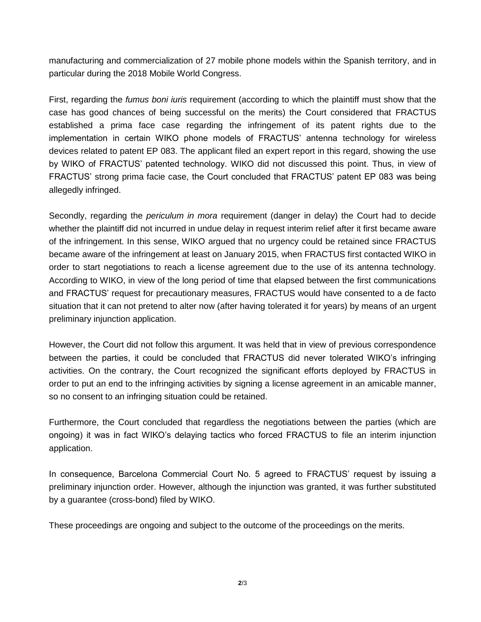manufacturing and commercialization of 27 mobile phone models within the Spanish territory, and in particular during the 2018 Mobile World Congress.

First, regarding the *fumus boni iuris* requirement (according to which the plaintiff must show that the case has good chances of being successful on the merits) the Court considered that FRACTUS established a prima face case regarding the infringement of its patent rights due to the implementation in certain WIKO phone models of FRACTUS' antenna technology for wireless devices related to patent EP 083. The applicant filed an expert report in this regard, showing the use by WIKO of FRACTUS' patented technology. WIKO did not discussed this point. Thus, in view of FRACTUS' strong prima facie case, the Court concluded that FRACTUS' patent EP 083 was being allegedly infringed.

Secondly, regarding the *periculum in mora* requirement (danger in delay) the Court had to decide whether the plaintiff did not incurred in undue delay in request interim relief after it first became aware of the infringement. In this sense, WIKO argued that no urgency could be retained since FRACTUS became aware of the infringement at least on January 2015, when FRACTUS first contacted WIKO in order to start negotiations to reach a license agreement due to the use of its antenna technology. According to WIKO, in view of the long period of time that elapsed between the first communications and FRACTUS' request for precautionary measures, FRACTUS would have consented to a de facto situation that it can not pretend to alter now (after having tolerated it for years) by means of an urgent preliminary injunction application.

However, the Court did not follow this argument. It was held that in view of previous correspondence between the parties, it could be concluded that FRACTUS did never tolerated WIKO's infringing activities. On the contrary, the Court recognized the significant efforts deployed by FRACTUS in order to put an end to the infringing activities by signing a license agreement in an amicable manner, so no consent to an infringing situation could be retained.

Furthermore, the Court concluded that regardless the negotiations between the parties (which are ongoing) it was in fact WIKO's delaying tactics who forced FRACTUS to file an interim injunction application.

In consequence, Barcelona Commercial Court No. 5 agreed to FRACTUS' request by issuing a preliminary injunction order. However, although the injunction was granted, it was further substituted by a guarantee (cross-bond) filed by WIKO.

These proceedings are ongoing and subject to the outcome of the proceedings on the merits.